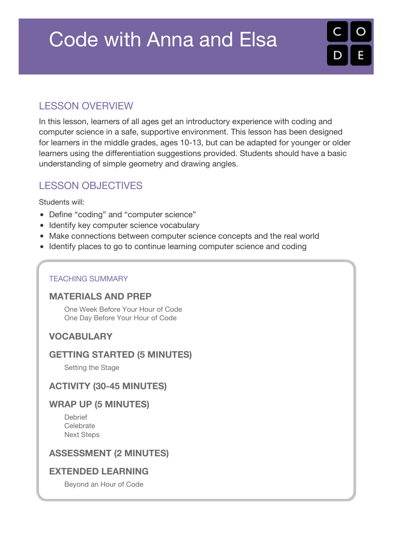## Code with Anna and Elsa



## LESSON OVERVIEW

In this lesson, learners of all ages get an introductory experience with coding and computer science in a safe, supportive environment. This lesson has been designed for learners in the middle grades, ages 10-13, but can be adapted for younger or older learners using the differentiation suggestions provided. Students should have a basic understanding of simple geometry and drawing angles.

## **LESSON OBJECTIVES**

Students will:

- Define "coding" and "computer science"
- Identify key computer science vocabulary
- Make connections between computer science concepts and the real world
- Identify places to go to continue learning computer science and coding

#### TEACHING SUMMARY

#### **[MATERIALS](#page-1-0) AND PREP**

One Week [Before](#page-1-1) Your Hour of Code One Day [Before](#page-1-2) Your Hour of Code

#### **[VOCABULARY](#page-1-3)**

#### **GETTING STARTED (5 [MINUTES\)](#page-1-4)**

[Setting](#page-1-5) the Stage

#### **ACTIVITY (30-45 [MINUTES\)](#page-2-0)**

#### **WRAP UP (5 [MINUTES\)](#page-3-0)**

[Debrief](#page-3-1) [Celebrate](#page-3-2) Next [Steps](#page-3-3)

#### **[ASSESSMENT](#page-3-4) (2 MINUTES)**

#### **[EXTENDED](#page-4-0) LEARNING**

[Beyond](#page-4-1) an Hour of Code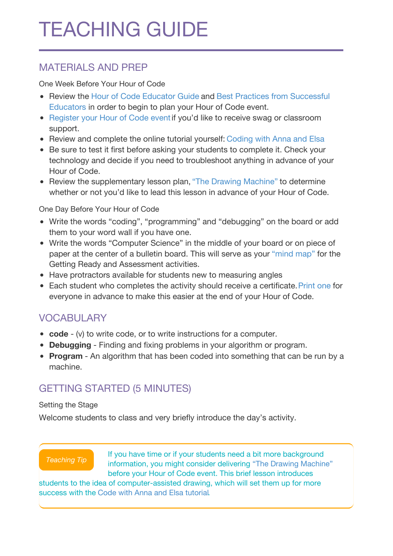# TEACHING GUIDE

## <span id="page-1-0"></span>MATERIALS AND PREP

<span id="page-1-1"></span>One Week Before Your Hour of Code

- Review the Hour of Code [Educator](http://hourofcode.com/resources/how-to/) Guide and Best Practices from [Successful](http://www.slideshare.net/TeachCode/hour-of-code-best-practices-for-successful-educators-51273466) Educators in order to begin to plan your Hour of Code event.
- [Register](http://hourofcode.com) your Hour of Code event if you'd like to receive swag or classroom support.
- Review and complete the online tutorial yourself: [Coding](https://studio.code.org/s/frozen/stage/1/puzzle/1) with Anna and Elsa
- Be sure to test it first before asking your students to complete it. Check your technology and decide if you need to troubleshoot anything in advance of your Hour of Code.
- Review the supplementary lesson plan, "The Drawing [Machine"](https://code.org/curriculum/misc/hocunplugged/Teacher) to determine whether or not you'd like to lead this lesson in advance of your Hour of Code.

<span id="page-1-2"></span>One Day Before Your Hour of Code

- Write the words "coding", "programming" and "debugging" on the board or add them to your word wall if you have one.
- Write the words "Computer Science" in the middle of your board or on piece of paper at the center of a bulletin board. This will serve as your ["mind](https://en.wikipedia.org/wiki/Mind_map) map" for the Getting Ready and Assessment activities.
- Have protractors available for students new to measuring angles
- Each student who completes the activity should receive a certificate. [Print](http://code.org/certificates) one for everyone in advance to make this easier at the end of your Hour of Code.

## <span id="page-1-3"></span>**VOCABULARY**

- **code** (v) to write code, or to write instructions for a computer.
- **Debugging** Finding and fixing problems in your algorithm or program.
- **Program** An algorithm that has been coded into something that can be run by a machine.

## <span id="page-1-4"></span>GETTING STARTED (5 MINUTES)

#### <span id="page-1-5"></span>Setting the Stage

Welcome students to class and very briefly introduce the day's activity.

#### *Teaching Tip*

If you have time or if your students need a bit more background information, you might consider delivering "The Drawing [Machine"](https://code.org/curriculum/misc/hocunplugged/Teacher) before your Hour of Code event. This brief lesson introduces

students to the idea of computer-assisted drawing, which will set them up for more success with the Code with Anna and Elsa [tutoria](https://studio.code.org/s/frozen/stage/1/puzzle/1)l.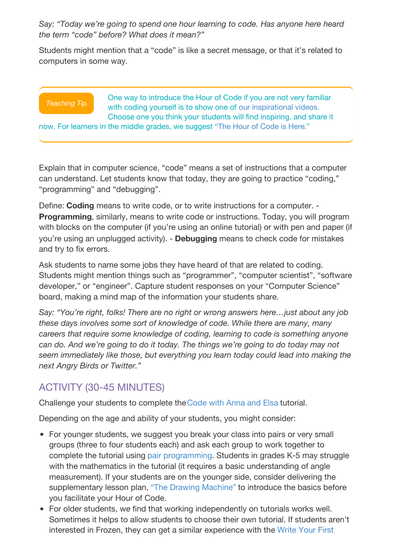*Say: "Today we're going to spend one hour learning to code. Has anyone here heard the term "code" before? What does it mean?"*

Students might mention that a "code" is like a secret message, or that it's related to computers in some way.

#### *Teaching Tip*

One way to introduce the Hour of Code if you are not very familiar with coding yourself is to show one of our [inspirational](https://hourofcode.com/us/resources#videos) videos. Choose one you think your students will find inspiring, and share it

now. For learners in the middle grades, we suggest "The Hour of [Code](https://youtu.be/FC5FbmsH4fw) is Here."

Explain that in computer science, "code" means a set of instructions that a computer can understand. Let students know that today, they are going to practice "coding," "programming" and "debugging".

Define: **Coding** means to write code, or to write instructions for a computer. - **Programming**, similarly, means to write code or instructions. Today, you will program with blocks on the computer (if you're using an online tutorial) or with pen and paper (if you're using an unplugged activity). - **Debugging** means to check code for mistakes and try to fix errors.

Ask students to name some jobs they have heard of that are related to coding. Students might mention things such as "programmer", "computer scientist", "software developer," or "engineer". Capture student responses on your "Computer Science" board, making a mind map of the information your students share.

*Say: "You're right, folks! There are no right or wrong answers here…just about any job these days involves some sort of knowledge of code. While there are many, many careers that require some knowledge of coding, learning to code is something anyone can do. And we're going to do it today. The things we're going to do today may not seem immediately like those, but everything you learn today could lead into making the next Angry Birds or Twitter."*

## <span id="page-2-0"></span>ACTIVITY (30-45 MINUTES)

Challenge your students to complete the[Code](https://studio.code.org/s/frozen/stage/1/puzzle/1) with Anna and Elsa tutorial.

Depending on the age and ability of your students, you might consider:

- For younger students, we suggest you break your class into pairs or very small groups (three to four students each) and ask each group to work together to complete the tutorial using pair [programming](https://youtu.be/vgkahOzFH2Q). Students in grades K-5 may struggle with the mathematics in the tutorial (it requires a basic understanding of angle measurement). If your students are on the younger side, consider delivering the supplementary lesson plan, "The Drawing [Machine"](https://code.org/curriculum/misc/hocunplugged/Teacher) to introduce the basics before you facilitate your Hour of Code.
- For older students, we find that working independently on tutorials works well. Sometimes it helps to allow students to choose their own tutorial. If students aren't interested in Frozen, they can get a similar [experience](https://studio.code.org/hoc/1) with the Write Your First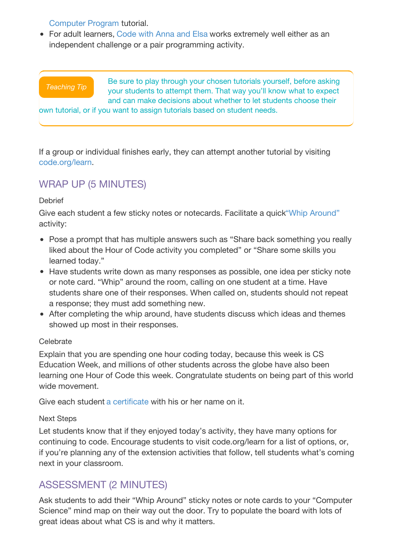#### Computer Program tutorial.

• For adult learners, [Code](https://studio.code.org/s/frozen/stage/1/puzzle/1) with Anna and Elsa works extremely well either as an independent challenge or a pair programming activity.

#### *Teaching Tip*

Be sure to play through your chosen tutorials yourself, before asking your students to attempt them. That way you'll know what to expect and can make decisions about whether to let students choose their

own tutorial, or if you want to assign tutorials based on student needs.

If a group or individual finishes early, they can attempt another tutorial by visiting [code.org/learn.](http://code.org/learn)

## <span id="page-3-0"></span>WRAP UP (5 MINUTES)

#### <span id="page-3-1"></span>**Debrief**

Give each student a few sticky notes or notecards. Facilitate a quick"Whip [Around"](http://www.theteachertoolkit.com/index.php/tool/whip-around) activity:

- Pose a prompt that has multiple answers such as "Share back something you really liked about the Hour of Code activity you completed" or "Share some skills you learned today."
- Have students write down as many responses as possible, one idea per sticky note or note card. "Whip" around the room, calling on one student at a time. Have students share one of their responses. When called on, students should not repeat a response; they must add something new.
- After completing the whip around, have students discuss which ideas and themes showed up most in their responses.

#### <span id="page-3-2"></span>Celebrate

Explain that you are spending one hour coding today, because this week is CS Education Week, and millions of other students across the globe have also been learning one Hour of Code this week. Congratulate students on being part of this world wide movement.

Give each student a [certificate](http://code.org/certificates) with his or her name on it.

#### <span id="page-3-3"></span>Next Steps

Let students know that if they enjoyed today's activity, they have many options for continuing to code. Encourage students to visit code.org/learn for a list of options, or, if you're planning any of the extension activities that follow, tell students what's coming next in your classroom.

### <span id="page-3-4"></span>ASSESSMENT (2 MINUTES)

Ask students to add their "Whip Around" sticky notes or note cards to your "Computer Science" mind map on their way out the door. Try to populate the board with lots of great ideas about what CS is and why it matters.